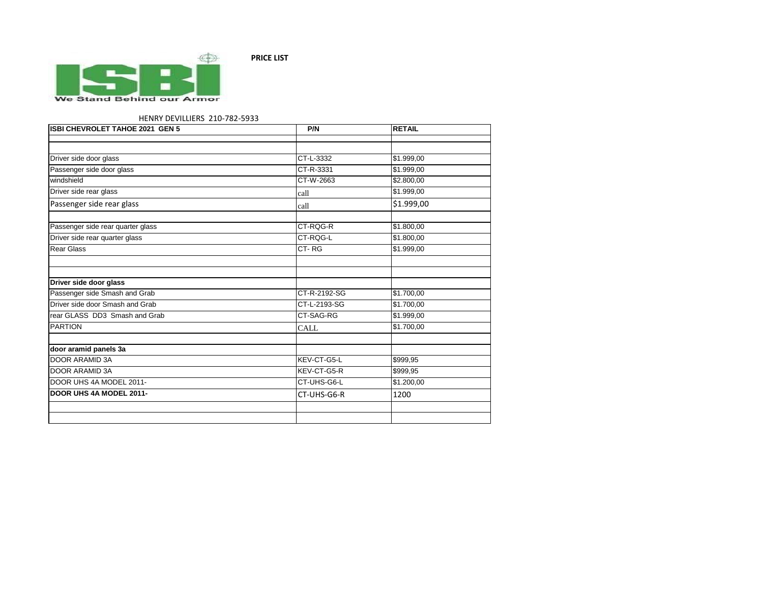

## HENRY DEVILLIERS 210-782-5933

| ISBI CHEVROLET TAHOE 2021 GEN 5   | P/N          | <b>RETAIL</b> |
|-----------------------------------|--------------|---------------|
|                                   |              |               |
|                                   |              |               |
| Driver side door glass            | CT-L-3332    | \$1.999,00    |
| Passenger side door glass         | CT-R-3331    | \$1.999,00    |
| windshield                        | CT-W-2663    | \$2.800,00    |
| Driver side rear glass            | call         | \$1.999,00    |
| Passenger side rear glass         | call         | \$1.999,00    |
|                                   |              |               |
| Passenger side rear quarter glass | CT-RQG-R     | \$1.800,00    |
| Driver side rear quarter glass    | CT-RQG-L     | \$1.800,00    |
| <b>Rear Glass</b>                 | CT-RG        | \$1.999,00    |
|                                   |              |               |
| Driver side door glass            |              |               |
| Passenger side Smash and Grab     | CT-R-2192-SG | \$1.700,00    |
| Driver side door Smash and Grab   | CT-L-2193-SG | \$1.700,00    |
| rear GLASS DD3 Smash and Grab     | CT-SAG-RG    | \$1.999,00    |
| <b>PARTION</b>                    | <b>CALL</b>  | \$1.700,00    |
|                                   |              |               |
| door aramid panels 3a             |              |               |
| <b>DOOR ARAMID 3A</b>             | KEV-CT-G5-L  | \$999,95      |
| <b>DOOR ARAMID 3A</b>             | KEV-CT-G5-R  | \$999,95      |
| DOOR UHS 4A MODEL 2011-           | CT-UHS-G6-L  | \$1.200,00    |
| DOOR UHS 4A MODEL 2011-           | CT-UHS-G6-R  | 1200          |
|                                   |              |               |
|                                   |              |               |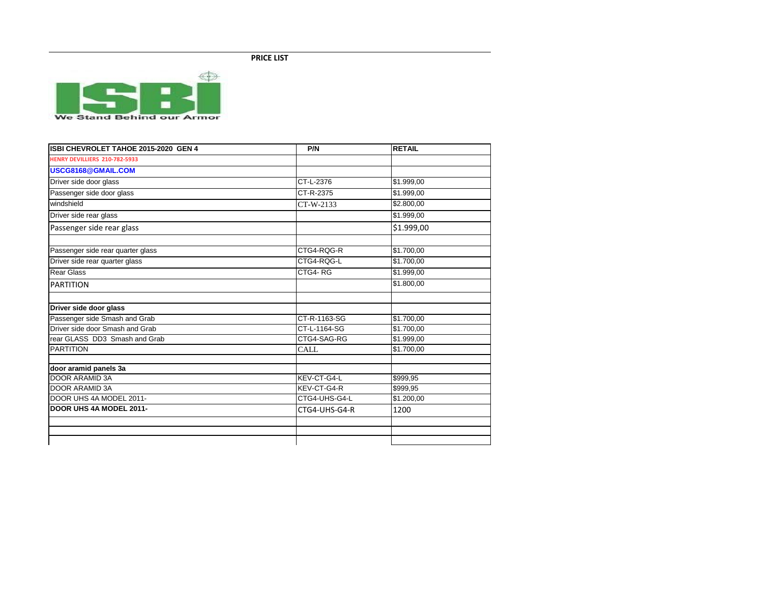

| ISBI CHEVROLET TAHOE 2015-2020 GEN 4 | P/N                    | <b>RETAIL</b>          |
|--------------------------------------|------------------------|------------------------|
| HENRY DEVILLIERS 210-782-5933        |                        |                        |
| USCG8168@GMAIL.COM                   |                        |                        |
| Driver side door glass               | $\overline{CT-L-2376}$ | \$1.999,00             |
| Passenger side door glass            | CT-R-2375              | \$1.999,00             |
| windshield                           | CT-W-2133              | \$2.800,00             |
| Driver side rear glass               |                        | \$1.999,00             |
| Passenger side rear glass            |                        | \$1.999,00             |
| Passenger side rear quarter glass    | CTG4-RQG-R             | \$1.700,00             |
| Driver side rear quarter glass       | CTG4-RQG-L             | \$1.700,00             |
| <b>Rear Glass</b>                    | CTG4-RG                | $\overline{$1.999,00}$ |
| <b>PARTITION</b>                     |                        | \$1.800,00             |
| Driver side door glass               |                        |                        |
| Passenger side Smash and Grab        | CT-R-1163-SG           | \$1.700,00             |
| Driver side door Smash and Grab      | CT-L-1164-SG           | \$1.700,00             |
| rear GLASS DD3 Smash and Grab        | CTG4-SAG-RG            | $\overline{$1.999,00}$ |
| <b>PARTITION</b>                     | CALL                   | \$1.700,00             |
| door aramid panels 3a                |                        |                        |
| <b>DOOR ARAMID 3A</b>                | KEV-CT-G4-L            | \$999,95               |
| DOOR ARAMID 3A                       | KEV-CT-G4-R            | \$999,95               |
| DOOR UHS 4A MODEL 2011-              | CTG4-UHS-G4-L          | \$1.200,00             |
| DOOR UHS 4A MODEL 2011-              | CTG4-UHS-G4-R          | 1200                   |
|                                      |                        |                        |
|                                      |                        |                        |
|                                      |                        |                        |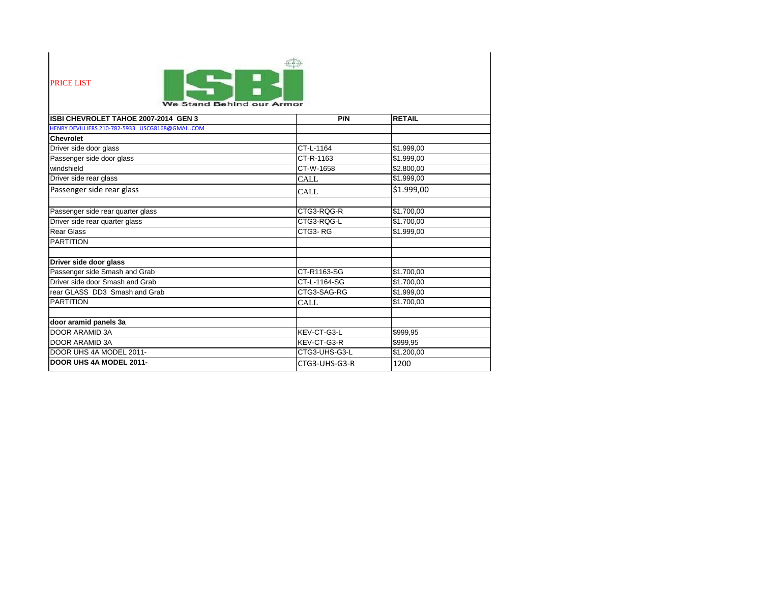| <b>PRICE LIST</b><br>We Stand Behind our Armor   |               |                   |  |
|--------------------------------------------------|---------------|-------------------|--|
| ISBI CHEVROLET TAHOE 2007-2014 GEN 3             | P/N           | <b>RETAIL</b>     |  |
| HENRY DEVILLIERS 210-782-5933 USCG8168@GMAIL.COM |               |                   |  |
| <b>Chevrolet</b>                                 |               |                   |  |
| Driver side door glass                           | CT-L-1164     | \$1.999,00        |  |
| Passenger side door glass                        | CT-R-1163     | $\sqrt{1.999,00}$ |  |
| windshield                                       | CT-W-1658     | \$2.800,00        |  |
| Driver side rear glass                           | <b>CALL</b>   | \$1.999,00        |  |
| Passenger side rear glass                        | <b>CALL</b>   | \$1.999,00        |  |
| Passenger side rear quarter glass                | CTG3-RQG-R    | \$1.700,00        |  |
| Driver side rear quarter glass                   | CTG3-RQG-L    | \$1.700,00        |  |
| <b>Rear Glass</b>                                | CTG3-RG       | \$1.999,00        |  |
| <b>PARTITION</b>                                 |               |                   |  |
| Driver side door glass                           |               |                   |  |
| Passenger side Smash and Grab                    | CT-R1163-SG   | \$1.700,00        |  |
| Driver side door Smash and Grab                  | CT-L-1164-SG  | \$1.700,00        |  |
| rear GLASS DD3 Smash and Grab                    | CTG3-SAG-RG   | \$1.999,00        |  |
| <b>PARTITION</b>                                 | <b>CALL</b>   | \$1.700,00        |  |
| door aramid panels 3a                            |               |                   |  |
| <b>DOOR ARAMID 3A</b>                            | KEV-CT-G3-L   | \$999,95          |  |
| <b>DOOR ARAMID 3A</b>                            | KEV-CT-G3-R   | \$999,95          |  |
| DOOR UHS 4A MODEL 2011-                          | CTG3-UHS-G3-L | \$1.200,00        |  |
| <b>DOOR UHS 4A MODEL 2011-</b>                   | CTG3-UHS-G3-R | 1200              |  |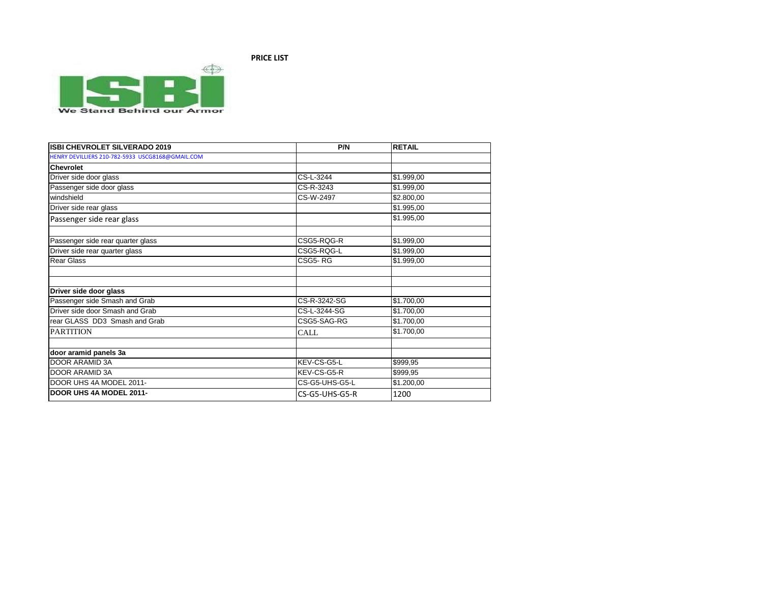

| <b>ISBI CHEVROLET SILVERADO 2019</b>             | P/N            | <b>RETAIL</b> |
|--------------------------------------------------|----------------|---------------|
| HENRY DEVILLIERS 210-782-5933 USCG8168@GMAIL.COM |                |               |
| <b>Chevrolet</b>                                 |                |               |
| Driver side door glass                           | CS-L-3244      | \$1.999,00    |
| Passenger side door glass                        | CS-R-3243      | \$1.999,00    |
| windshield                                       | CS-W-2497      | \$2.800,00    |
| Driver side rear glass                           |                | \$1.995,00    |
| Passenger side rear glass                        |                | \$1.995,00    |
| Passenger side rear quarter glass                | CSG5-RQG-R     | \$1.999,00    |
| Driver side rear quarter glass                   | CSG5-RQG-L     | \$1.999,00    |
| <b>Rear Glass</b>                                | CSG5-RG        | \$1.999,00    |
|                                                  |                |               |
| Driver side door glass                           |                |               |
| Passenger side Smash and Grab                    | CS-R-3242-SG   | \$1.700,00    |
| Driver side door Smash and Grab                  | CS-L-3244-SG   | \$1.700,00    |
| rear GLASS DD3 Smash and Grab                    | CSG5-SAG-RG    | \$1.700,00    |
| <b>PARTITION</b>                                 | <b>CALL</b>    | \$1.700,00    |
|                                                  |                |               |
| door aramid panels 3a                            |                |               |
| <b>DOOR ARAMID 3A</b>                            | KEV-CS-G5-L    | \$999,95      |
| DOOR ARAMID 3A                                   | KEV-CS-G5-R    | \$999,95      |
| DOOR UHS 4A MODEL 2011-                          | CS-G5-UHS-G5-L | \$1.200,00    |
| DOOR UHS 4A MODEL 2011-                          | CS-G5-UHS-G5-R | 1200          |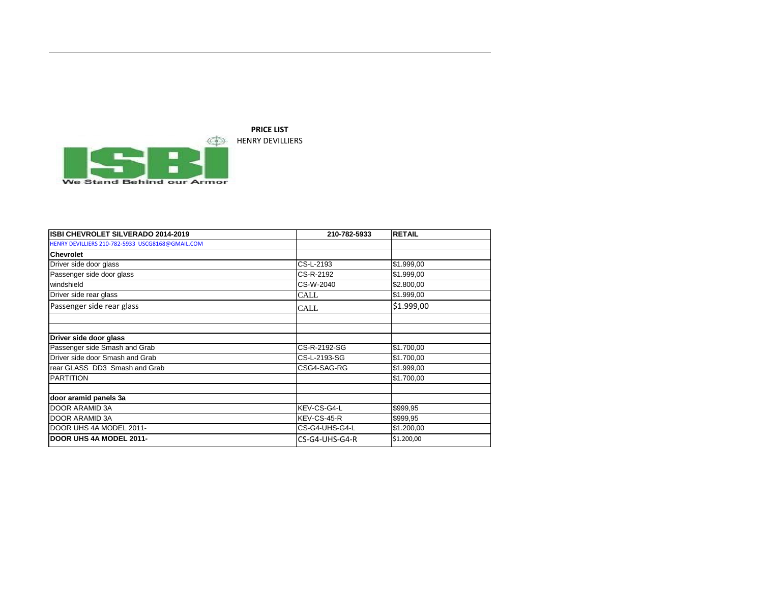

| ISBI CHEVROLET SILVERADO 2014-2019               | 210-782-5933   | <b>RETAIL</b> |
|--------------------------------------------------|----------------|---------------|
| HENRY DEVILLIERS 210-782-5933 USCG8168@GMAIL.COM |                |               |
| <b>Chevrolet</b>                                 |                |               |
| Driver side door glass                           | CS-L-2193      | \$1.999,00    |
| Passenger side door glass                        | CS-R-2192      | \$1.999,00    |
| windshield                                       | CS-W-2040      | \$2.800,00    |
| Driver side rear glass                           | CALL           | \$1.999,00    |
| Passenger side rear glass                        | CALL           | \$1.999,00    |
|                                                  |                |               |
| Driver side door glass                           |                |               |
| Passenger side Smash and Grab                    | CS-R-2192-SG   | \$1.700,00    |
| Driver side door Smash and Grab                  | CS-L-2193-SG   | \$1.700,00    |
| rear GLASS DD3 Smash and Grab                    | CSG4-SAG-RG    | \$1.999,00    |
| <b>PARTITION</b>                                 |                | \$1.700,00    |
| door aramid panels 3a                            |                |               |
| DOOR ARAMID 3A                                   | KEV-CS-G4-L    | \$999,95      |
| DOOR ARAMID 3A                                   | KEV-CS-45-R    | \$999,95      |
| DOOR UHS 4A MODEL 2011-                          | CS-G4-UHS-G4-L | \$1.200,00    |
| <b>IDOOR UHS 4A MODEL 2011-</b>                  | CS-G4-UHS-G4-R | \$1.200,00    |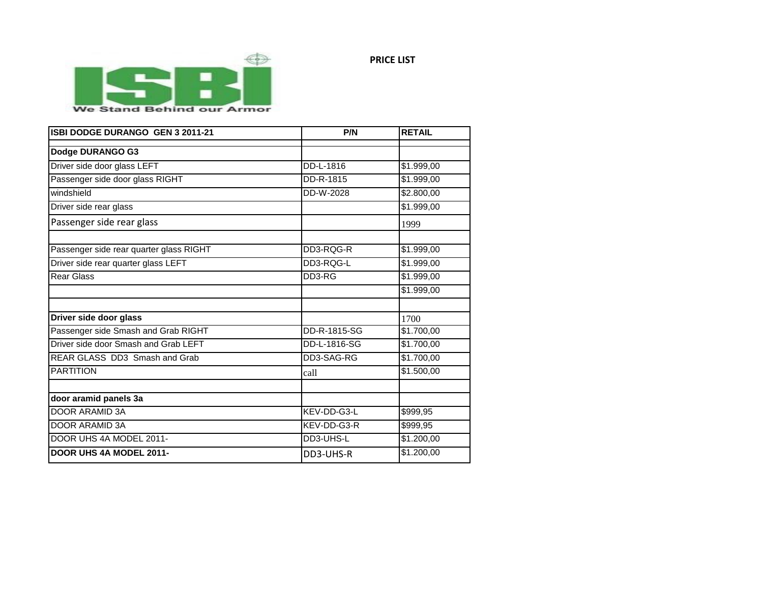

We Stand Behind our Armor

| ISBI DODGE DURANGO GEN 3 2011-21        | P/N          | <b>RETAIL</b> |
|-----------------------------------------|--------------|---------------|
| Dodge DURANGO G3                        |              |               |
| Driver side door glass LEFT             | DD-L-1816    | \$1.999,00    |
| Passenger side door glass RIGHT         | DD-R-1815    | \$1.999,00    |
| windshield                              | DD-W-2028    | \$2.800,00    |
| Driver side rear glass                  |              | \$1.999,00    |
| Passenger side rear glass               |              | 1999          |
| Passenger side rear quarter glass RIGHT | DD3-RQG-R    | \$1.999,00    |
| Driver side rear quarter glass LEFT     | DD3-RQG-L    | \$1.999,00    |
| <b>Rear Glass</b>                       | DD3-RG       | \$1.999,00    |
|                                         |              | \$1.999,00    |
| Driver side door glass                  |              | 1700          |
| Passenger side Smash and Grab RIGHT     | DD-R-1815-SG | \$1.700,00    |
| Driver side door Smash and Grab LEFT    | DD-L-1816-SG | \$1.700,00    |
| REAR GLASS DD3 Smash and Grab           | DD3-SAG-RG   | \$1.700,00    |
| <b>PARTITION</b>                        | call         | \$1.500,00    |
| door aramid panels 3a                   |              |               |
| <b>DOOR ARAMID 3A</b>                   | KEV-DD-G3-L  | \$999,95      |
| <b>DOOR ARAMID 3A</b>                   | KEV-DD-G3-R  | \$999,95      |
| DOOR UHS 4A MODEL 2011-                 | DD3-UHS-L    | \$1.200,00    |
| <b>DOOR UHS 4A MODEL 2011-</b>          | DD3-UHS-R    | \$1.200,00    |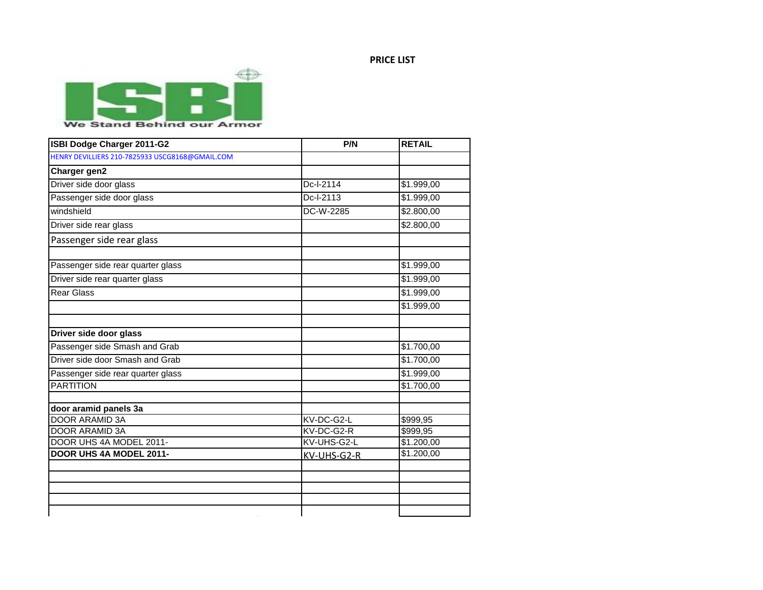

**ISBI Dodge Charger 2011-G2 P/N RETAIL** [HENRY DEVILLIERS 210-7825933 USCG8168@GMAIL.COM](mailto:USCG8168@GMAIL.COM)

| Charger gen2                      |             |                        |
|-----------------------------------|-------------|------------------------|
| Driver side door glass            | Dc-I-2114   | \$1.999,00             |
| Passenger side door glass         | Dc-I-2113   | \$1.999,00             |
| windshield                        | DC-W-2285   | \$2.800,00             |
| Driver side rear glass            |             | \$2.800,00             |
| Passenger side rear glass         |             |                        |
| Passenger side rear quarter glass |             | \$1.999,00             |
| Driver side rear quarter glass    |             | \$1.999,00             |
| <b>Rear Glass</b>                 |             | \$1.999,00             |
|                                   |             | \$1.999,00             |
| Driver side door glass            |             |                        |
| Passenger side Smash and Grab     |             | \$1.700,00             |
| Driver side door Smash and Grab   |             | $\overline{$1.700,00}$ |
| Passenger side rear quarter glass |             | \$1.999,00             |
| <b>PARTITION</b>                  |             | \$1.700,00             |
| door aramid panels 3a             |             |                        |
| DOOR ARAMID 3A                    | KV-DC-G2-L  | \$999,95               |
| <b>DOOR ARAMID 3A</b>             | KV-DC-G2-R  | \$999,95               |
| DOOR UHS 4A MODEL 2011-           | KV-UHS-G2-L | \$1.200,00             |
| DOOR UHS 4A MODEL 2011-           | KV-UHS-G2-R | \$1.200,00             |
|                                   |             |                        |
|                                   |             |                        |
|                                   |             |                        |
|                                   |             |                        |
|                                   |             |                        |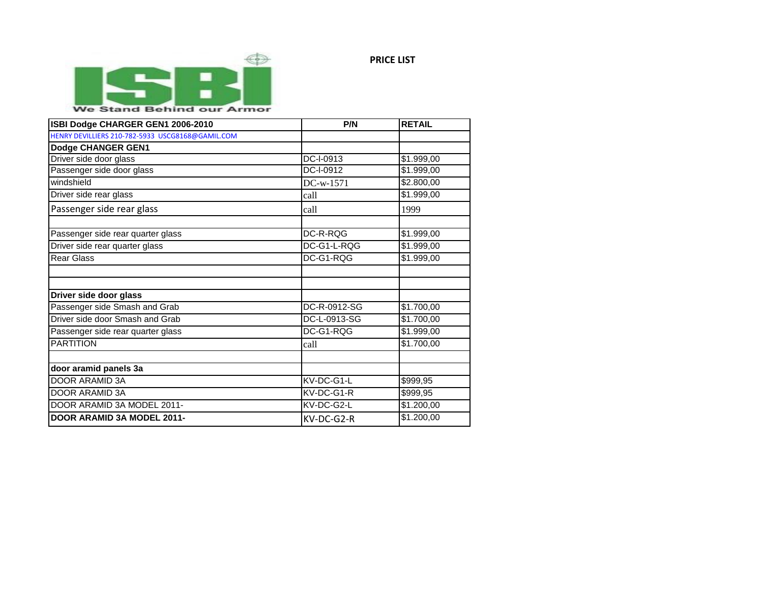

## We Stand Behind our Armor

| ISBI Dodge CHARGER GEN1 2006-2010                | P/N          | <b>RETAIL</b> |
|--------------------------------------------------|--------------|---------------|
| HENRY DEVILLIERS 210-782-5933 USCG8168@GAMIL.COM |              |               |
| Dodge CHANGER GEN1                               |              |               |
| Driver side door glass                           | DC-I-0913    | \$1.999,00    |
| Passenger side door glass                        | DC-I-0912    | \$1.999,00    |
| windshield                                       | DC-w-1571    | \$2.800,00    |
| Driver side rear glass                           | call         | \$1.999,00    |
| Passenger side rear glass                        | call         | 1999          |
| Passenger side rear quarter glass                | DC-R-RQG     | \$1.999,00    |
| Driver side rear quarter glass                   | DC-G1-L-RQG  | \$1.999,00    |
| <b>Rear Glass</b>                                | DC-G1-RQG    | \$1.999,00    |
|                                                  |              |               |
| Driver side door glass                           |              |               |
| Passenger side Smash and Grab                    | DC-R-0912-SG | \$1.700,00    |
| Driver side door Smash and Grab                  | DC-L-0913-SG | \$1.700,00    |
| Passenger side rear quarter glass                | DC-G1-RQG    | \$1.999,00    |
| <b>PARTITION</b>                                 | call         | \$1.700,00    |
|                                                  |              |               |
| door aramid panels 3a                            |              |               |
| DOOR ARAMID 3A                                   | KV-DC-G1-L   | \$999,95      |
| DOOR ARAMID 3A                                   | KV-DC-G1-R   | \$999,95      |
| DOOR ARAMID 3A MODEL 2011-                       | KV-DC-G2-L   | \$1.200,00    |
| DOOR ARAMID 3A MODEL 2011-                       | KV-DC-G2-R   | \$1.200,00    |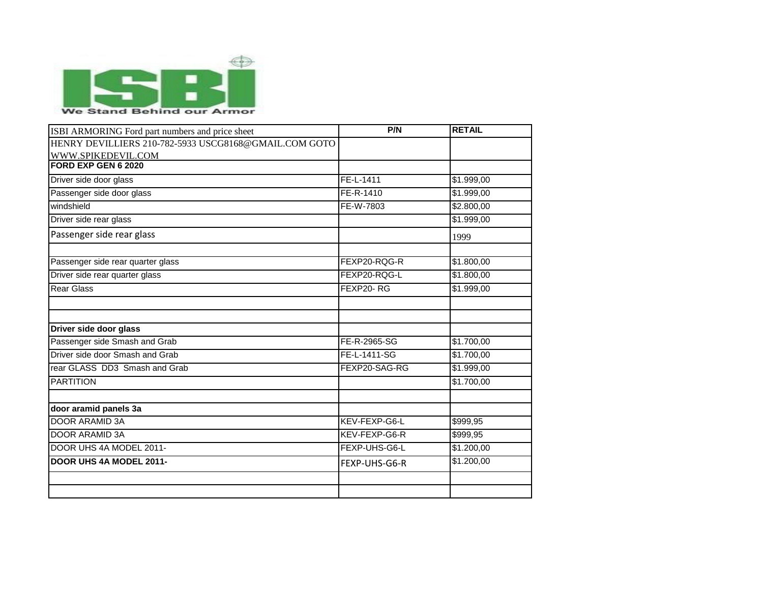

| ISBI ARMORING Ford part numbers and price sheet       | P/N           | <b>RETAIL</b> |
|-------------------------------------------------------|---------------|---------------|
| HENRY DEVILLIERS 210-782-5933 USCG8168@GMAIL.COM GOTO |               |               |
| WWW.SPIKEDEVIL.COM                                    |               |               |
| FORD EXP GEN 6 2020                                   |               |               |
| Driver side door glass                                | FE-L-1411     | \$1.999,00    |
| Passenger side door glass                             | FE-R-1410     | \$1.999,00    |
| windshield                                            | FE-W-7803     | \$2.800,00    |
| Driver side rear glass                                |               | \$1.999,00    |
| Passenger side rear glass                             |               | 1999          |
| Passenger side rear quarter glass                     | FEXP20-RQG-R  | \$1.800,00    |
| Driver side rear quarter glass                        | FEXP20-RQG-L  | \$1.800,00    |
| <b>Rear Glass</b>                                     | FEXP20-RG     | \$1.999,00    |
| Driver side door glass                                |               |               |
| Passenger side Smash and Grab                         | FE-R-2965-SG  | \$1.700,00    |
| Driver side door Smash and Grab                       | FE-L-1411-SG  | \$1.700,00    |
| rear GLASS DD3 Smash and Grab                         | FEXP20-SAG-RG | \$1.999,00    |
| <b>PARTITION</b>                                      |               | \$1.700,00    |
| door aramid panels 3a                                 |               |               |
| <b>DOOR ARAMID 3A</b>                                 | KEV-FEXP-G6-L | \$999,95      |
| <b>DOOR ARAMID 3A</b>                                 | KEV-FEXP-G6-R | \$999,95      |
| DOOR UHS 4A MODEL 2011-                               | FEXP-UHS-G6-L | \$1.200,00    |
| DOOR UHS 4A MODEL 2011-                               | FEXP-UHS-G6-R | \$1.200,00    |
|                                                       |               |               |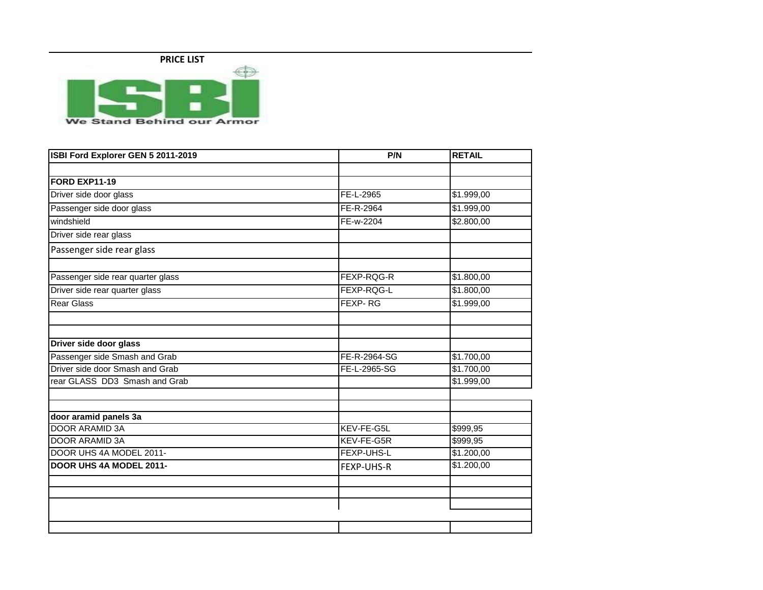

**ISBI Ford Explorer GEN 5 2011-2019 P/N P/N RETAIL FORD EXP11-19** Driver side door glass **FE-L-2965** \$1.999,00 Passenger side door glass **FE-R-2964** \$1.999,00 windshield FE-w-2204 \$2.800,00 Driver side rear glass Passenger side rear glass Passenger side rear quarter glass FEXP-RQG-R \$1.800,00 Driver side rear quarter glass FEXP-RQG-L \$1.800,00 Rear Glass Feature in the set of the set of the set of the set of the set of the set of the set of the set of the set of the set of the set of the set of the set of the set of the set of the set of the set of the set of th **Driver side door glass** Passenger side Smash and Grab FE-R-2964-SG 51.700,00 Driver side door Smash and Grab FE-L-2965-SG \$1.700,00 rear GLASS DD3 Smash and Grab  $\left| \text{ $1.999,00} \right|$ **door aramid panels 3a DOOR ARAMID 3A KEV-FE-G5L** \$999,95 DOOR ARAMID 3A **KEV-FE-G5R** \$999,95 DOOR UHS 4A MODEL 2011-<br>
FEXP-UHS-L \$1.200,00 **DOOR UHS 4A MODEL 2011- FEXP-UHS-R** \$1.200,00